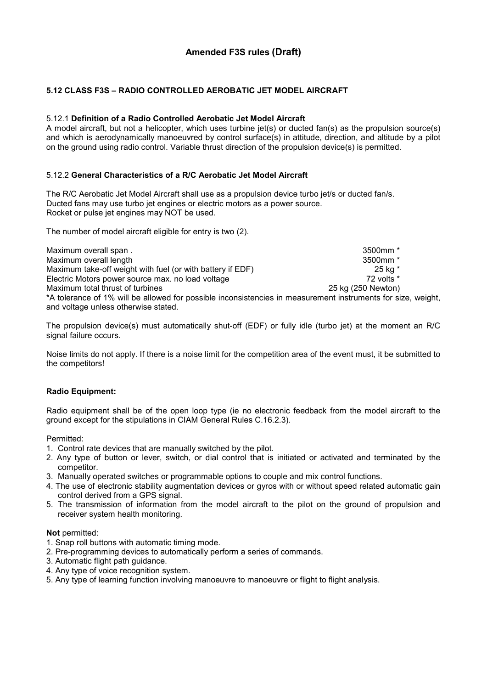# Amended F3S rules (Draft)

### 5.12 CLASS F3S – RADIO CONTROLLED AEROBATIC JET MODEL AIRCRAFT

#### 5.12.1 Definition of a Radio Controlled Aerobatic Jet Model Aircraft

A model aircraft, but not a helicopter, which uses turbine jet(s) or ducted fan(s) as the propulsion source(s) and which is aerodynamically manoeuvred by control surface(s) in attitude, direction, and altitude by a pilot on the ground using radio control. Variable thrust direction of the propulsion device(s) is permitted.

#### 5.12.2 General Characteristics of a R/C Aerobatic Jet Model Aircraft

The R/C Aerobatic Jet Model Aircraft shall use as a propulsion device turbo jet/s or ducted fan/s. Ducted fans may use turbo jet engines or electric motors as a power source. Rocket or pulse jet engines may NOT be used.

The number of model aircraft eligible for entry is two (2).

Maximum overall span . **3500mm** \* 3500mm \* 3500mm \* 3500mm \* 3500mm \* 3500mm \* 3500mm \* 3500mm \* 3500mm \* 3500mm \* 3500mm \* 3500mm \* 3500mm \* 3500mm \* 3500mm \* 3500mm \* 3500mm \* 3500mm \* 3500mm \* 3500mm \* 3500mm \* 3500mm \* Maximum overall length 3500mm \* Maximum take-off weight with fuel (or with battery if EDF) 25 kg \*<br>Electric Motors power source max. no load voltage 72 volts \* Electric Motors power source max. no load voltage Maximum total thrust of turbines 25 kg (250 Newton) \*A tolerance of 1% will be allowed for possible inconsistencies in measurement instruments for size, weight, and voltage unless otherwise stated.

The propulsion device(s) must automatically shut-off (EDF) or fully idle (turbo jet) at the moment an R/C signal failure occurs.

Noise limits do not apply. If there is a noise limit for the competition area of the event must, it be submitted to the competitors!

#### Radio Equipment:

Radio equipment shall be of the open loop type (ie no electronic feedback from the model aircraft to the ground except for the stipulations in CIAM General Rules C.16.2.3).

Permitted:

- 1. Control rate devices that are manually switched by the pilot.
- 2. Any type of button or lever, switch, or dial control that is initiated or activated and terminated by the competitor.
- 3. Manually operated switches or programmable options to couple and mix control functions.
- 4. The use of electronic stability augmentation devices or gyros with or without speed related automatic gain control derived from a GPS signal.
- 5. The transmission of information from the model aircraft to the pilot on the ground of propulsion and receiver system health monitoring.

#### Not permitted:

- 1. Snap roll buttons with automatic timing mode.
- 2. Pre-programming devices to automatically perform a series of commands.
- 3. Automatic flight path guidance.
- 4. Any type of voice recognition system.
- 5. Any type of learning function involving manoeuvre to manoeuvre or flight to flight analysis.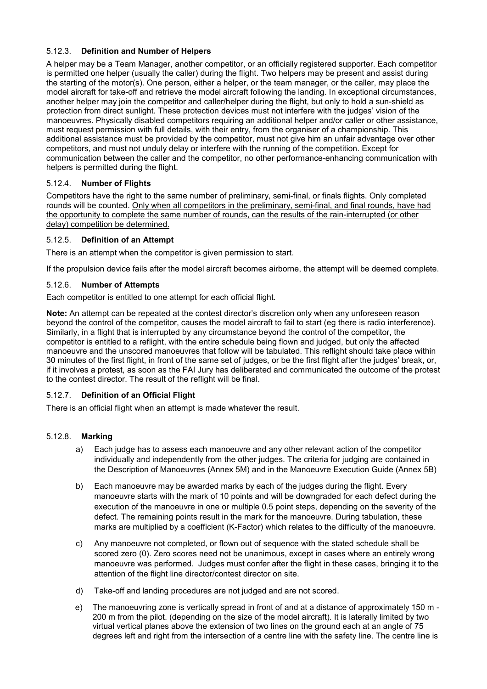### 5.12.3. Definition and Number of Helpers

A helper may be a Team Manager, another competitor, or an officially registered supporter. Each competitor is permitted one helper (usually the caller) during the flight. Two helpers may be present and assist during the starting of the motor(s). One person, either a helper, or the team manager, or the caller, may place the model aircraft for take-off and retrieve the model aircraft following the landing. In exceptional circumstances, another helper may join the competitor and caller/helper during the flight, but only to hold a sun-shield as protection from direct sunlight. These protection devices must not interfere with the judges' vision of the manoeuvres. Physically disabled competitors requiring an additional helper and/or caller or other assistance, must request permission with full details, with their entry, from the organiser of a championship. This additional assistance must be provided by the competitor, must not give him an unfair advantage over other competitors, and must not unduly delay or interfere with the running of the competition. Except for communication between the caller and the competitor, no other performance-enhancing communication with helpers is permitted during the flight.

### 5.12.4. Number of Flights

Competitors have the right to the same number of preliminary, semi-final, or finals flights. Only completed rounds will be counted. Only when all competitors in the preliminary, semi-final, and final rounds, have had the opportunity to complete the same number of rounds, can the results of the rain-interrupted (or other delay) competition be determined.

### 5.12.5. Definition of an Attempt

There is an attempt when the competitor is given permission to start.

If the propulsion device fails after the model aircraft becomes airborne, the attempt will be deemed complete.

### 5.12.6. Number of Attempts

Each competitor is entitled to one attempt for each official flight.

Note: An attempt can be repeated at the contest director's discretion only when any unforeseen reason beyond the control of the competitor, causes the model aircraft to fail to start (eg there is radio interference). Similarly, in a flight that is interrupted by any circumstance beyond the control of the competitor, the competitor is entitled to a reflight, with the entire schedule being flown and judged, but only the affected manoeuvre and the unscored manoeuvres that follow will be tabulated. This reflight should take place within 30 minutes of the first flight, in front of the same set of judges, or be the first flight after the judges' break, or, if it involves a protest, as soon as the FAI Jury has deliberated and communicated the outcome of the protest to the contest director. The result of the reflight will be final.

## 5.12.7. Definition of an Official Flight

There is an official flight when an attempt is made whatever the result.

## 5.12.8. Marking

- a) Each judge has to assess each manoeuvre and any other relevant action of the competitor individually and independently from the other judges. The criteria for judging are contained in the Description of Manoeuvres (Annex 5M) and in the Manoeuvre Execution Guide (Annex 5B)
- b) Each manoeuvre may be awarded marks by each of the judges during the flight. Every manoeuvre starts with the mark of 10 points and will be downgraded for each defect during the execution of the manoeuvre in one or multiple 0.5 point steps, depending on the severity of the defect. The remaining points result in the mark for the manoeuvre. During tabulation, these marks are multiplied by a coefficient (K-Factor) which relates to the difficulty of the manoeuvre.
- c) Any manoeuvre not completed, or flown out of sequence with the stated schedule shall be scored zero (0). Zero scores need not be unanimous, except in cases where an entirely wrong manoeuvre was performed. Judges must confer after the flight in these cases, bringing it to the attention of the flight line director/contest director on site.
- d) Take-off and landing procedures are not judged and are not scored.
- e) The manoeuvring zone is vertically spread in front of and at a distance of approximately 150 m 200 m from the pilot. (depending on the size of the model aircraft). It is laterally limited by two virtual vertical planes above the extension of two lines on the ground each at an angle of 75 degrees left and right from the intersection of a centre line with the safety line. The centre line is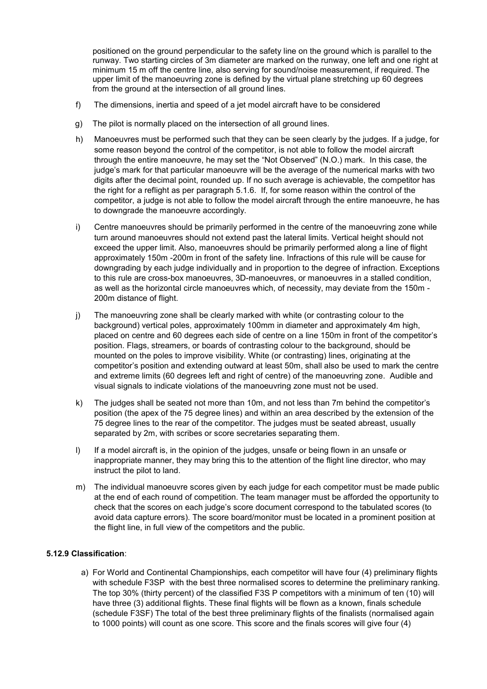positioned on the ground perpendicular to the safety line on the ground which is parallel to the runway. Two starting circles of 3m diameter are marked on the runway, one left and one right at minimum 15 m off the centre line, also serving for sound/noise measurement, if required. The upper limit of the manoeuvring zone is defined by the virtual plane stretching up 60 degrees from the ground at the intersection of all ground lines.

- f) The dimensions, inertia and speed of a jet model aircraft have to be considered
- g) The pilot is normally placed on the intersection of all ground lines.
- h) Manoeuvres must be performed such that they can be seen clearly by the judges. If a judge, for some reason beyond the control of the competitor, is not able to follow the model aircraft through the entire manoeuvre, he may set the "Not Observed" (N.O.) mark. In this case, the judge's mark for that particular manoeuvre will be the average of the numerical marks with two digits after the decimal point, rounded up. If no such average is achievable, the competitor has the right for a reflight as per paragraph 5.1.6. If, for some reason within the control of the competitor, a judge is not able to follow the model aircraft through the entire manoeuvre, he has to downgrade the manoeuvre accordingly.
- i) Centre manoeuvres should be primarily performed in the centre of the manoeuvring zone while turn around manoeuvres should not extend past the lateral limits. Vertical height should not exceed the upper limit. Also, manoeuvres should be primarily performed along a line of flight approximately 150m -200m in front of the safety line. Infractions of this rule will be cause for downgrading by each judge individually and in proportion to the degree of infraction. Exceptions to this rule are cross-box manoeuvres, 3D-manoeuvres, or manoeuvres in a stalled condition, as well as the horizontal circle manoeuvres which, of necessity, may deviate from the 150m - 200m distance of flight.
- j) The manoeuvring zone shall be clearly marked with white (or contrasting colour to the background) vertical poles, approximately 100mm in diameter and approximately 4m high, placed on centre and 60 degrees each side of centre on a line 150m in front of the competitor's position. Flags, streamers, or boards of contrasting colour to the background, should be mounted on the poles to improve visibility. White (or contrasting) lines, originating at the competitor's position and extending outward at least 50m, shall also be used to mark the centre and extreme limits (60 degrees left and right of centre) of the manoeuvring zone. Audible and visual signals to indicate violations of the manoeuvring zone must not be used.
- k) The judges shall be seated not more than 10m, and not less than 7m behind the competitor's position (the apex of the 75 degree lines) and within an area described by the extension of the 75 degree lines to the rear of the competitor. The judges must be seated abreast, usually separated by 2m, with scribes or score secretaries separating them.
- I) If a model aircraft is, in the opinion of the judges, unsafe or being flown in an unsafe or inappropriate manner, they may bring this to the attention of the flight line director, who may instruct the pilot to land.
- m) The individual manoeuvre scores given by each judge for each competitor must be made public at the end of each round of competition. The team manager must be afforded the opportunity to check that the scores on each judge's score document correspond to the tabulated scores (to avoid data capture errors). The score board/monitor must be located in a prominent position at the flight line, in full view of the competitors and the public.

#### 5.12.9 Classification:

a) For World and Continental Championships, each competitor will have four (4) preliminary flights with schedule F3SP with the best three normalised scores to determine the preliminary ranking. The top 30% (thirty percent) of the classified F3S P competitors with a minimum of ten (10) will have three (3) additional flights. These final flights will be flown as a known, finals schedule (schedule F3SF) The total of the best three preliminary flights of the finalists (normalised again to 1000 points) will count as one score. This score and the finals scores will give four (4)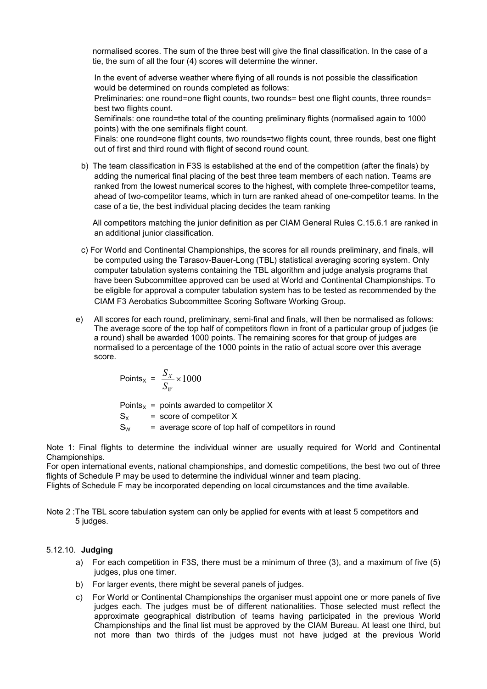normalised scores. The sum of the three best will give the final classification. In the case of a tie, the sum of all the four (4) scores will determine the winner.

In the event of adverse weather where flying of all rounds is not possible the classification would be determined on rounds completed as follows:

Preliminaries: one round=one flight counts, two rounds= best one flight counts, three rounds= best two flights count.

Semifinals: one round=the total of the counting preliminary flights (normalised again to 1000 points) with the one semifinals flight count.

Finals: one round=one flight counts, two rounds=two flights count, three rounds, best one flight out of first and third round with flight of second round count.

b) The team classification in F3S is established at the end of the competition (after the finals) by adding the numerical final placing of the best three team members of each nation. Teams are ranked from the lowest numerical scores to the highest, with complete three-competitor teams, ahead of two-competitor teams, which in turn are ranked ahead of one-competitor teams. In the case of a tie, the best individual placing decides the team ranking

All competitors matching the junior definition as per CIAM General Rules C.15.6.1 are ranked in an additional junior classification.

- c) For World and Continental Championships, the scores for all rounds preliminary, and finals, will be computed using the Tarasov-Bauer-Long (TBL) statistical averaging scoring system. Only computer tabulation systems containing the TBL algorithm and judge analysis programs that have been Subcommittee approved can be used at World and Continental Championships. To be eligible for approval a computer tabulation system has to be tested as recommended by the CIAM F3 Aerobatics Subcommittee Scoring Software Working Group.
- e) All scores for each round, preliminary, semi-final and finals, will then be normalised as follows: The average score of the top half of competitors flown in front of a particular group of judges (ie a round) shall be awarded 1000 points. The remaining scores for that group of judges are normalised to a percentage of the 1000 points in the ratio of actual score over this average score.

$$
Points_x = \frac{S_x}{S_w} \times 1000
$$

Points<sub>x</sub> = points awarded to competitor X  $S_x$  = score of competitor X  $S_W$  = average score of top half of competitors in round

Note 1: Final flights to determine the individual winner are usually required for World and Continental Championships.

For open international events, national championships, and domestic competitions, the best two out of three flights of Schedule P may be used to determine the individual winner and team placing.

Flights of Schedule F may be incorporated depending on local circumstances and the time available.

Note 2 :The TBL score tabulation system can only be applied for events with at least 5 competitors and 5 judges.

#### 5.12.10. Judging

- a) For each competition in F3S, there must be a minimum of three (3), and a maximum of five (5) judges, plus one timer.
- b) For larger events, there might be several panels of judges.
- c) For World or Continental Championships the organiser must appoint one or more panels of five judges each. The judges must be of different nationalities. Those selected must reflect the approximate geographical distribution of teams having participated in the previous World Championships and the final list must be approved by the CIAM Bureau. At least one third, but not more than two thirds of the judges must not have judged at the previous World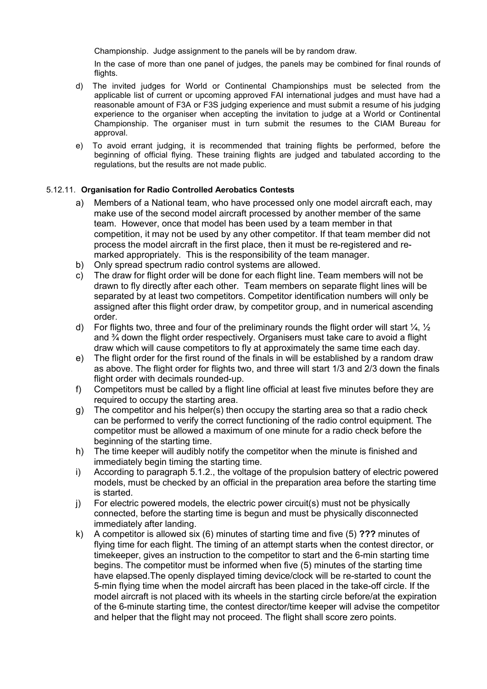Championship. Judge assignment to the panels will be by random draw.

In the case of more than one panel of judges, the panels may be combined for final rounds of flights.

- d) The invited judges for World or Continental Championships must be selected from the applicable list of current or upcoming approved FAI international judges and must have had a reasonable amount of F3A or F3S judging experience and must submit a resume of his judging experience to the organiser when accepting the invitation to judge at a World or Continental Championship. The organiser must in turn submit the resumes to the CIAM Bureau for approval.
- e) To avoid errant judging, it is recommended that training flights be performed, before the beginning of official flying. These training flights are judged and tabulated according to the regulations, but the results are not made public.

### 5.12.11. Organisation for Radio Controlled Aerobatics Contests

- a) Members of a National team, who have processed only one model aircraft each, may make use of the second model aircraft processed by another member of the same team. However, once that model has been used by a team member in that competition, it may not be used by any other competitor. If that team member did not process the model aircraft in the first place, then it must be re-registered and remarked appropriately. This is the responsibility of the team manager.
- b) Only spread spectrum radio control systems are allowed.
- c) The draw for flight order will be done for each flight line. Team members will not be drawn to fly directly after each other. Team members on separate flight lines will be separated by at least two competitors. Competitor identification numbers will only be assigned after this flight order draw, by competitor group, and in numerical ascending order.
- d) For flights two, three and four of the preliminary rounds the flight order will start  $\frac{1}{4}$ ,  $\frac{1}{2}$ and  $\frac{3}{4}$  down the flight order respectively. Organisers must take care to avoid a flight draw which will cause competitors to fly at approximately the same time each day.
- e) The flight order for the first round of the finals in will be established by a random draw as above. The flight order for flights two, and three will start 1/3 and 2/3 down the finals flight order with decimals rounded-up.
- f) Competitors must be called by a flight line official at least five minutes before they are required to occupy the starting area.
- g) The competitor and his helper(s) then occupy the starting area so that a radio check can be performed to verify the correct functioning of the radio control equipment. The competitor must be allowed a maximum of one minute for a radio check before the beginning of the starting time.
- h) The time keeper will audibly notify the competitor when the minute is finished and immediately begin timing the starting time.
- i) According to paragraph 5.1.2., the voltage of the propulsion battery of electric powered models, must be checked by an official in the preparation area before the starting time is started.
- j) For electric powered models, the electric power circuit(s) must not be physically connected, before the starting time is begun and must be physically disconnected immediately after landing.
- k) A competitor is allowed six (6) minutes of starting time and five (5) ??? minutes of flying time for each flight. The timing of an attempt starts when the contest director, or timekeeper, gives an instruction to the competitor to start and the 6-min starting time begins. The competitor must be informed when five (5) minutes of the starting time have elapsed.The openly displayed timing device/clock will be re-started to count the 5-min flying time when the model aircraft has been placed in the take-off circle. If the model aircraft is not placed with its wheels in the starting circle before/at the expiration of the 6-minute starting time, the contest director/time keeper will advise the competitor and helper that the flight may not proceed. The flight shall score zero points.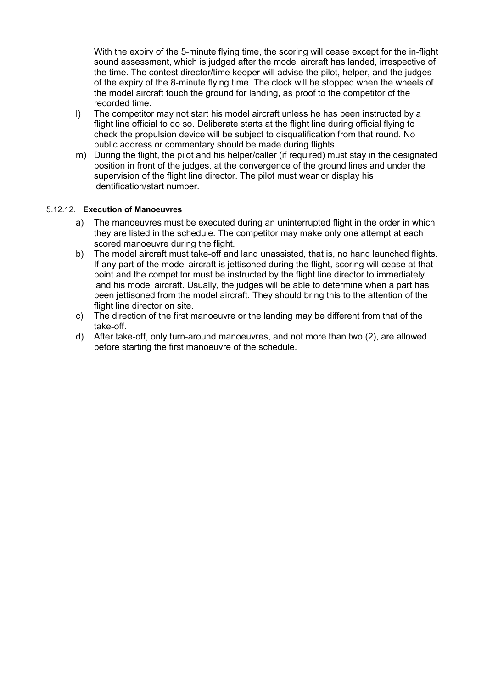With the expiry of the 5-minute flying time, the scoring will cease except for the in-flight sound assessment, which is judged after the model aircraft has landed, irrespective of the time. The contest director/time keeper will advise the pilot, helper, and the judges of the expiry of the 8-minute flying time. The clock will be stopped when the wheels of the model aircraft touch the ground for landing, as proof to the competitor of the recorded time.

- l) The competitor may not start his model aircraft unless he has been instructed by a flight line official to do so. Deliberate starts at the flight line during official flying to check the propulsion device will be subject to disqualification from that round. No public address or commentary should be made during flights.
- m) During the flight, the pilot and his helper/caller (if required) must stay in the designated position in front of the judges, at the convergence of the ground lines and under the supervision of the flight line director. The pilot must wear or display his identification/start number.

## 5.12.12. Execution of Manoeuvres

- a) The manoeuvres must be executed during an uninterrupted flight in the order in which they are listed in the schedule. The competitor may make only one attempt at each scored manoeuvre during the flight.
- b) The model aircraft must take-off and land unassisted, that is, no hand launched flights. If any part of the model aircraft is jettisoned during the flight, scoring will cease at that point and the competitor must be instructed by the flight line director to immediately land his model aircraft. Usually, the judges will be able to determine when a part has been jettisoned from the model aircraft. They should bring this to the attention of the flight line director on site.
- c) The direction of the first manoeuvre or the landing may be different from that of the take-off.
- d) After take-off, only turn-around manoeuvres, and not more than two (2), are allowed before starting the first manoeuvre of the schedule.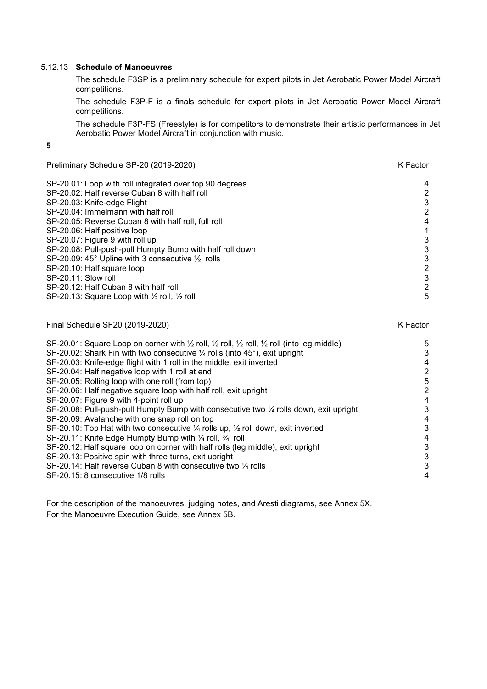#### 5.12.13 Schedule of Manoeuvres

The schedule F3SP is a preliminary schedule for expert pilots in Jet Aerobatic Power Model Aircraft competitions.

The schedule F3P-F is a finals schedule for expert pilots in Jet Aerobatic Power Model Aircraft competitions.

The schedule F3P-FS (Freestyle) is for competitors to demonstrate their artistic performances in Jet Aerobatic Power Model Aircraft in conjunction with music.

#### 5

Preliminary Schedule SP-20 (2019-2020) K Factor SP-20.01: Loop with roll integrated over top 90 degrees 4 and the state of the SP-20.02: Half reverse Cuban 8 with half roll and the state of the SP-20.02: Half reverse Cuban 8 with half roll and the state of the SP-20.02: SP-20.02: Half reverse Cuban 8 with half roll  $\overline{a}$ <br>
SP-20.03: Knife-edge Flight 3 SP-20.03: Knife-edge Flight 3<br>SP-20.04: Immelmann with half roll 3 SP-20.04: Immelmann with half roll and the state of the state of the state of the state of the state of the state of the state of the state of the state of the state of the state of the state of the state of the state of t SP-20.05: Reverse Cuban 8 with half roll, full roll  $\mathsf{S}$ P-20.06: Half rositive loop  $\mathsf{S}$ SP-20.06: Half positive loop 1<br>SP-20.07: Figure 9 with roll up 1 SP-20.07: Figure 9 with roll up<br>
SP-20.08: Pull-push-pull Humpty Bump with half roll down<br>
3 SP-20.08: Pull-push-pull Humpty Bump with half roll down<br>SP-20.09: 45° Upline with 3 consecutive 1/2 rolls 3 SP-20.09: 45° Upline with 3 consecutive ½ rolls 3 SP-20.10: Half square loop 2<br>SP-20.11: Slow roll 2 SP-20.11: Slow roll 3<br>
SP-20.12: Half Cuban 8 with half roll 3 SP-20.12: Half Cuban 8 with half roll SP-20.13: Square Loop with  $\frac{1}{2}$  roll,  $\frac{1}{2}$  roll 5

| Final Schedule SF20 (2019-2020)                                                                                                       | K Factor |
|---------------------------------------------------------------------------------------------------------------------------------------|----------|
| SF-20.01: Square Loop on corner with $\frac{1}{2}$ roll, $\frac{1}{2}$ roll, $\frac{1}{2}$ roll, $\frac{1}{2}$ roll (into leg middle) | 5        |
| SF-20.02: Shark Fin with two consecutive 1/4 rolls (into 45°), exit upright                                                           | 3        |
| SF-20.03: Knife-edge flight with 1 roll in the middle, exit inverted                                                                  | 4        |
| SF-20.04: Half negative loop with 1 roll at end                                                                                       | 2        |
| SF-20.05: Rolling loop with one roll (from top)                                                                                       | 5        |
| SF-20.06: Half negative square loop with half roll, exit upright                                                                      | 2        |
| SF-20.07: Figure 9 with 4-point roll up                                                                                               | 4        |
| SF-20.08: Pull-push-pull Humpty Bump with consecutive two $\frac{1}{4}$ rolls down, exit upright                                      | 3        |
| SF-20.09: Avalanche with one snap roll on top                                                                                         | 4        |
| SF-20.10: Top Hat with two consecutive $\frac{1}{4}$ rolls up, $\frac{1}{2}$ roll down, exit inverted                                 | 3        |
| SF-20.11: Knife Edge Humpty Bump with 1/4 roll, 3/4 roll                                                                              | 4        |
| SF-20.12: Half square loop on corner with half rolls (leg middle), exit upright                                                       | 3        |
| SF-20.13: Positive spin with three turns, exit upright                                                                                | 3        |
| SF-20.14: Half reverse Cuban 8 with consecutive two 1/4 rolls                                                                         | 3        |
| SF-20.15: 8 consecutive 1/8 rolls                                                                                                     | 4        |

For the description of the manoeuvres, judging notes, and Aresti diagrams, see Annex 5X. For the Manoeuvre Execution Guide, see Annex 5B.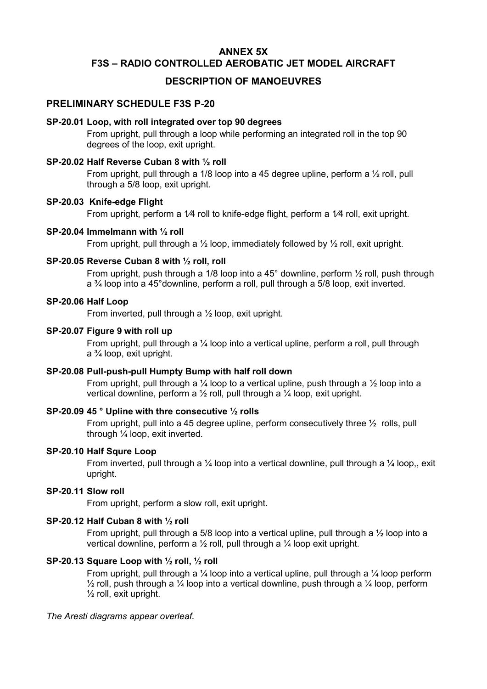# ANNEX 5X F3S – RADIO CONTROLLED AEROBATIC JET MODEL AIRCRAFT

# DESCRIPTION OF MANOEUVRES

## PRELIMINARY SCHEDULE F3S P-20

#### SP-20.01 Loop, with roll integrated over top 90 degrees

From upright, pull through a loop while performing an integrated roll in the top 90 degrees of the loop, exit upright.

# SP-20.02 Half Reverse Cuban 8 with ½ roll

From upright, pull through a 1/8 loop into a 45 degree upline, perform a ½ roll, pull through a 5/8 loop, exit upright.

## SP-20.03 Knife-edge Flight

From upright, perform a 1⁄4 roll to knife-edge flight, perform a 1⁄4 roll, exit upright.

### SP-20.04 Immelmann with ½ roll

From upright, pull through a  $\frac{1}{2}$  loop, immediately followed by  $\frac{1}{2}$  roll, exit upright.

### SP-20.05 Reverse Cuban 8 with ½ roll, roll

From upright, push through a 1/8 loop into a 45° downline, perform 1/2 roll, push through a ¾ loop into a 45°downline, perform a roll, pull through a 5/8 loop, exit inverted.

### SP-20.06 Half Loop

From inverted, pull through a ½ loop, exit upright.

### SP-20.07 Figure 9 with roll up

From upright, pull through a ¼ loop into a vertical upline, perform a roll, pull through a ¾ loop, exit upright.

## SP-20.08 Pull-push-pull Humpty Bump with half roll down

From upright, pull through a  $\frac{1}{4}$  loop to a vertical upline, push through a  $\frac{1}{2}$  loop into a vertical downline, perform a ½ roll, pull through a ¼ loop, exit upright.

## SP-20.09 45 ° Upline with thre consecutive ½ rolls

From upright, pull into a 45 degree upline, perform consecutively three ½ rolls, pull through ¼ loop, exit inverted.

#### SP-20.10 Half Squre Loop

From inverted, pull through a  $\frac{1}{4}$  loop into a vertical downline, pull through a  $\frac{1}{4}$  loop, exit upright.

#### SP-20.11 Slow roll

From upright, perform a slow roll, exit upright.

## SP-20.12 Half Cuban 8 with ½ roll

From upright, pull through a 5/8 loop into a vertical upline, pull through a 1/2 loop into a vertical downline, perform a ½ roll, pull through a ¼ loop exit upright.

## SP-20.13 Square Loop with ½ roll, ½ roll

From upright, pull through a  $\frac{1}{4}$  loop into a vertical upline, pull through a  $\frac{1}{4}$  loop perform  $\frac{1}{2}$  roll, push through a  $\frac{1}{4}$  loop into a vertical downline, push through a  $\frac{1}{4}$  loop, perform  $\frac{1}{2}$  roll, exit upright.

#### *The Aresti diagrams appear overleaf.*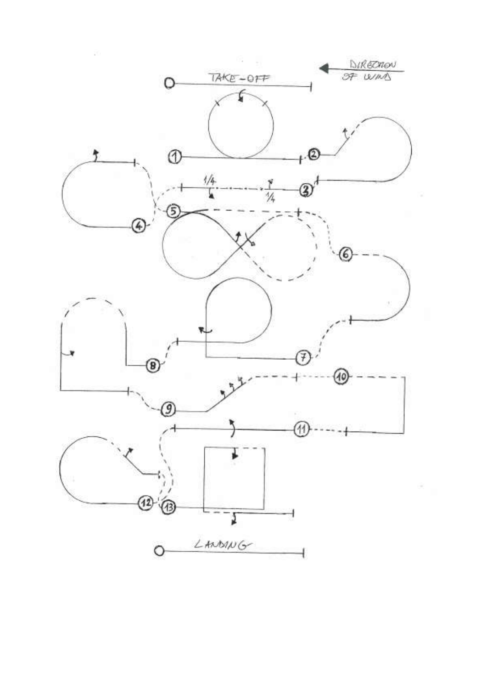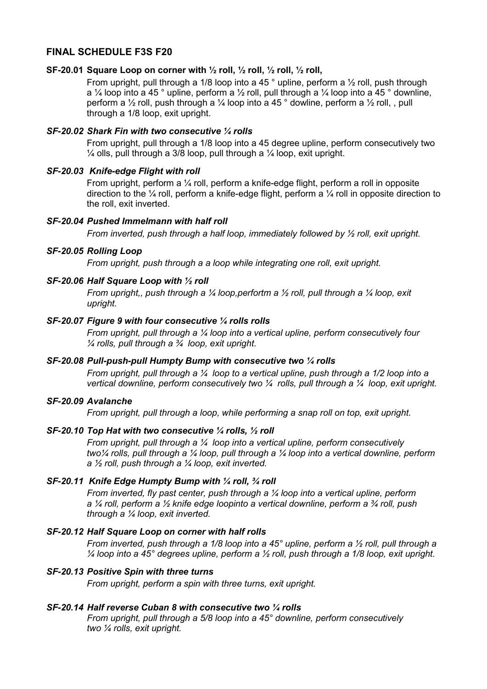# FINAL SCHEDULE F3S F20

#### SF-20.01 Square Loop on corner with  $\frac{1}{2}$  roll,  $\frac{1}{2}$  roll,  $\frac{1}{2}$  roll,  $\frac{1}{2}$  roll,

From upright, pull through a 1/8 loop into a 45 ° upline, perform a 1/2 roll, push through a  $\frac{1}{4}$  loop into a 45 ° upline, perform a  $\frac{1}{2}$  roll, pull through a  $\frac{1}{4}$  loop into a 45 ° downline, perform a ½ roll, push through a ¼ loop into a 45 ° dowline, perform a ½ roll, , pull through a 1/8 loop, exit upright.

### *SF-20.02 Shark Fin with two consecutive ¼ rolls*

From upright, pull through a 1/8 loop into a 45 degree upline, perform consecutively two  $\frac{1}{4}$  olls, pull through a 3/8 loop, pull through a  $\frac{1}{4}$  loop, exit upright.

#### *SF-20.03 Knife-edge Flight with roll*

From upright, perform a ¼ roll, perform a knife-edge flight, perform a roll in opposite direction to the ¼ roll, perform a knife-edge flight, perform a ¼ roll in opposite direction to the roll, exit inverted.

## *SF-20.04 Pushed Immelmann with half roll*

*From inverted, push through a half loop, immediately followed by ½ roll, exit upright.*

#### *SF-20.05 Rolling Loop*

*From upright, push through a a loop while integrating one roll, exit upright.*

#### *SF-20.06 Half Square Loop with ½ roll*

*From upright,, push through a ¼ loop,perfortm a ½ roll, pull through a ¼ loop, exit upright.*

### *SF-20.07 Figure 9 with four consecutive ¼ rolls rolls*

*From upright, pull through a ¼ loop into a vertical upline, perform consecutively four ¼ rolls, pull through a ¾ loop, exit upright.*

#### *SF-20.08 Pull-push-pull Humpty Bump with consecutive two ¼ rolls*

*From upright, pull through a ¼ loop to a vertical upline, push through a 1/2 loop into a vertical downline, perform consecutively two ¼ rolls, pull through a ¼ loop, exit upright.* 

### *SF-20.09 Avalanche*

*From upright, pull through a loop, while performing a snap roll on top, exit upright.*

#### *SF-20.10 Top Hat with two consecutive ¼ rolls, ½ roll*

*From upright, pull through a ¼ loop into a vertical upline, perform consecutively two¼ rolls, pull through a ¼ loop, pull through a ¼ loop into a vertical downline, perform a ½ roll, push through a ¼ loop, exit inverted.*

### *SF-20.11 Knife Edge Humpty Bump with ¼ roll, ¾ roll*

*From inverted, fly past center, push through a ¼ loop into a vertical upline, perform a ¼ roll, perform a ½ knife edge loopinto a vertical downline, perform a ¾ roll, push through a ¼ loop, exit inverted.*

#### *SF-20.12 Half Square Loop on corner with half rolls*

*From inverted, push through a 1/8 loop into a 45° upline, perform a ½ roll, pull through a ¼ loop into a 45° degrees upline, perform a ½ roll, push through a 1/8 loop, exit upright.*

## *SF-20.13 Positive Spin with three turns*

*From upright, perform a spin with three turns, exit upright.*

#### *SF-20.14 Half reverse Cuban 8 with consecutive two ¼ rolls*

*From upright, pull through a 5/8 loop into a 45° downline, perform consecutively two ¼ rolls, exit upright.*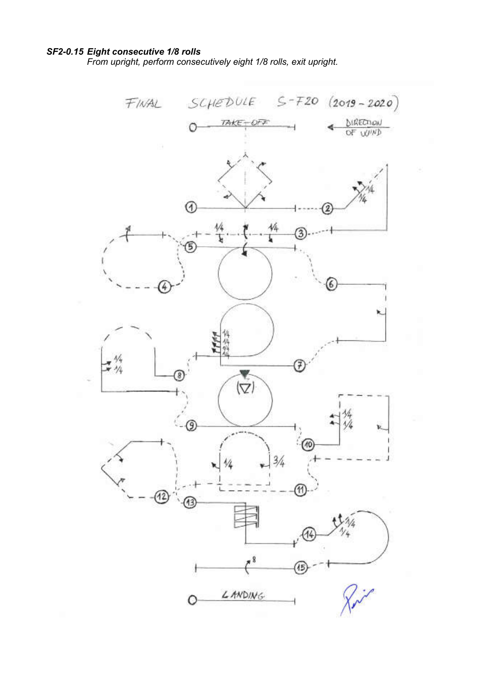# *SF2-0.15 Eight consecutive 1/8 rolls*

*From upright, perform consecutively eight 1/8 rolls, exit upright.*

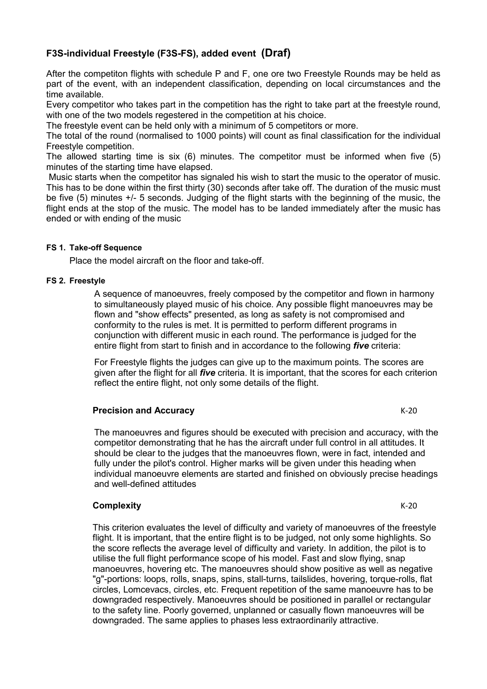# F3S-individual Freestyle (F3S-FS), added event (Draf)

After the competiton flights with schedule P and F, one ore two Freestyle Rounds may be held as part of the event, with an independent classification, depending on local circumstances and the time available.

Every competitor who takes part in the competition has the right to take part at the freestyle round, with one of the two models regestered in the competition at his choice.

The freestyle event can be held only with a minimum of 5 competitors or more.

The total of the round (normalised to 1000 points) will count as final classification for the individual Freestyle competition.

The allowed starting time is six (6) minutes. The competitor must be informed when five (5) minutes of the starting time have elapsed.

Music starts when the competitor has signaled his wish to start the music to the operator of music. This has to be done within the first thirty (30) seconds after take off. The duration of the music must be five (5) minutes +/- 5 seconds. Judging of the flight starts with the beginning of the music, the flight ends at the stop of the music. The model has to be landed immediately after the music has ended or with ending of the music

### FS 1. Take-off Sequence

Place the model aircraft on the floor and take-off.

### FS 2. Freestyle

A sequence of manoeuvres, freely composed by the competitor and flown in harmony to simultaneously played music of his choice. Any possible flight manoeuvres may be flown and "show effects" presented, as long as safety is not compromised and conformity to the rules is met. It is permitted to perform different programs in conjunction with different music in each round. The performance is judged for the entire flight from start to finish and in accordance to the following *five* criteria:

For Freestyle flights the judges can give up to the maximum points. The scores are given after the flight for all *five* criteria. It is important, that the scores for each criterion reflect the entire flight, not only some details of the flight.

## **Precision and Accuracy Exercision and Accuracy** K-20

The manoeuvres and figures should be executed with precision and accuracy, with the competitor demonstrating that he has the aircraft under full control in all attitudes. It should be clear to the judges that the manoeuvres flown, were in fact, intended and fully under the pilot's control. Higher marks will be given under this heading when individual manoeuvre elements are started and finished on obviously precise headings and well-defined attitudes

## Complexity **K-20**

This criterion evaluates the level of difficulty and variety of manoeuvres of the freestyle flight. It is important, that the entire flight is to be judged, not only some highlights. So the score reflects the average level of difficulty and variety. In addition, the pilot is to utilise the full flight performance scope of his model. Fast and slow flying, snap manoeuvres, hovering etc. The manoeuvres should show positive as well as negative "g"-portions: loops, rolls, snaps, spins, stall-turns, tailslides, hovering, torque-rolls, flat circles, Lomcevacs, circles, etc. Frequent repetition of the same manoeuvre has to be downgraded respectively. Manoeuvres should be positioned in parallel or rectangular to the safety line. Poorly governed, unplanned or casually flown manoeuvres will be downgraded. The same applies to phases less extraordinarily attractive.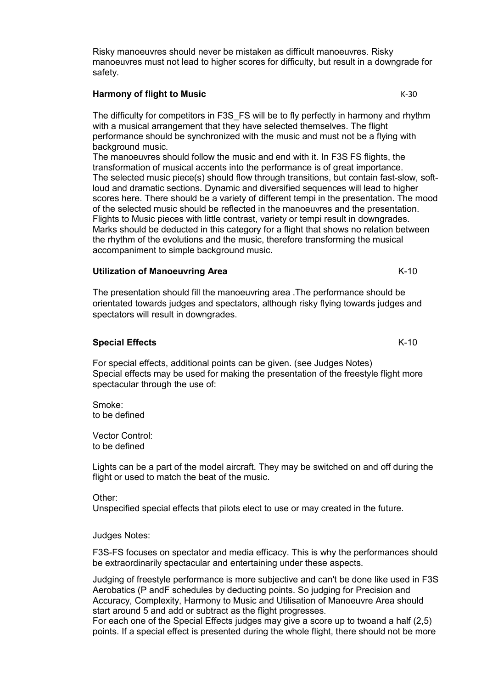Risky manoeuvres should never be mistaken as difficult manoeuvres. Risky manoeuvres must not lead to higher scores for difficulty, but result in a downgrade for safety.

#### Harmony of flight to Music News Assessment of the K-30

The difficulty for competitors in F3S\_FS will be to fly perfectly in harmony and rhythm with a musical arrangement that they have selected themselves. The flight performance should be synchronized with the music and must not be a flying with background music.

The manoeuvres should follow the music and end with it. In F3S FS flights, the transformation of musical accents into the performance is of great importance. The selected music piece(s) should flow through transitions, but contain fast-slow, softloud and dramatic sections. Dynamic and diversified sequences will lead to higher scores here. There should be a variety of different tempi in the presentation. The mood of the selected music should be reflected in the manoeuvres and the presentation. Flights to Music pieces with little contrast, variety or tempi result in downgrades. Marks should be deducted in this category for a flight that shows no relation between the rhythm of the evolutions and the music, therefore transforming the musical accompaniment to simple background music.

### Utilization of Manoeuvring Area K-10

The presentation should fill the manoeuvring area .The performance should be orientated towards judges and spectators, although risky flying towards judges and spectators will result in downgrades.

#### Special Effects K-10

For special effects, additional points can be given. (see Judges Notes) Special effects may be used for making the presentation of the freestyle flight more spectacular through the use of:

Smoke: to be defined

Vector Control: to be defined

Lights can be a part of the model aircraft. They may be switched on and off during the flight or used to match the beat of the music.

#### Other:

Unspecified special effects that pilots elect to use or may created in the future.

#### Judges Notes:

F3S-FS focuses on spectator and media efficacy. This is why the performances should be extraordinarily spectacular and entertaining under these aspects.

Judging of freestyle performance is more subjective and can't be done like used in F3S Aerobatics (P andF schedules by deducting points. So judging for Precision and Accuracy, Complexity, Harmony to Music and Utilisation of Manoeuvre Area should start around 5 and add or subtract as the flight progresses.

For each one of the Special Effects judges may give a score up to twoand a half (2,5) points. If a special effect is presented during the whole flight, there should not be more